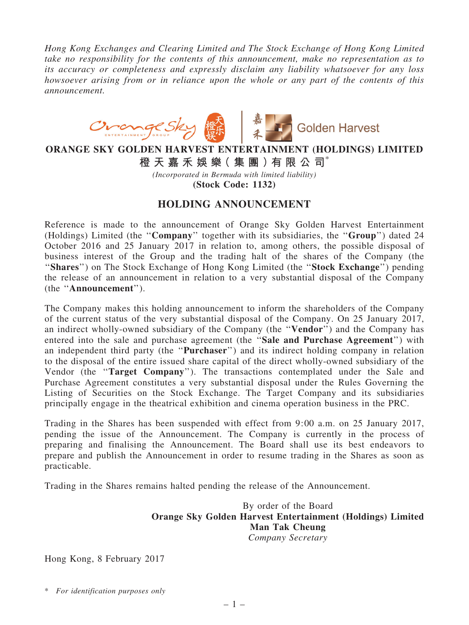Hong Kong Exchanges and Clearing Limited and The Stock Exchange of Hong Kong Limited take no responsibility for the contents of this announcement, make no representation as to its accuracy or completeness and expressly disclaim any liability whatsoever for any loss howsoever arising from or in reliance upon the whole or any part of the contents of this announcement.



## ORANGE SKY GOLDEN HARVEST ENTERTAINMENT (HOLDINGS) LIMITED

橙 天 嘉 禾 娛 樂( 集 團 )有 限 公 司\*

(Incorporated in Bermuda with limited liability) (Stock Code: 1132)

## HOLDING ANNOUNCEMENT

Reference is made to the announcement of Orange Sky Golden Harvest Entertainment (Holdings) Limited (the ''Company'' together with its subsidiaries, the ''Group'') dated 24 October 2016 and 25 January 2017 in relation to, among others, the possible disposal of business interest of the Group and the trading halt of the shares of the Company (the ''Shares'') on The Stock Exchange of Hong Kong Limited (the ''Stock Exchange'') pending the release of an announcement in relation to a very substantial disposal of the Company (the ''Announcement'').

The Company makes this holding announcement to inform the shareholders of the Company of the current status of the very substantial disposal of the Company. On 25 January 2017, an indirect wholly-owned subsidiary of the Company (the ''Vendor'') and the Company has entered into the sale and purchase agreement (the ''Sale and Purchase Agreement'') with an independent third party (the ''Purchaser'') and its indirect holding company in relation to the disposal of the entire issued share capital of the direct wholly-owned subsidiary of the Vendor (the ''Target Company''). The transactions contemplated under the Sale and Purchase Agreement constitutes a very substantial disposal under the Rules Governing the Listing of Securities on the Stock Exchange. The Target Company and its subsidiaries principally engage in the theatrical exhibition and cinema operation business in the PRC.

Trading in the Shares has been suspended with effect from 9:00 a.m. on 25 January 2017, pending the issue of the Announcement. The Company is currently in the process of preparing and finalising the Announcement. The Board shall use its best endeavors to prepare and publish the Announcement in order to resume trading in the Shares as soon as practicable.

Trading in the Shares remains halted pending the release of the Announcement.

By order of the Board Orange Sky Golden Harvest Entertainment (Holdings) Limited Man Tak Cheung Company Secretary

Hong Kong, 8 February 2017

\* For identification purposes only